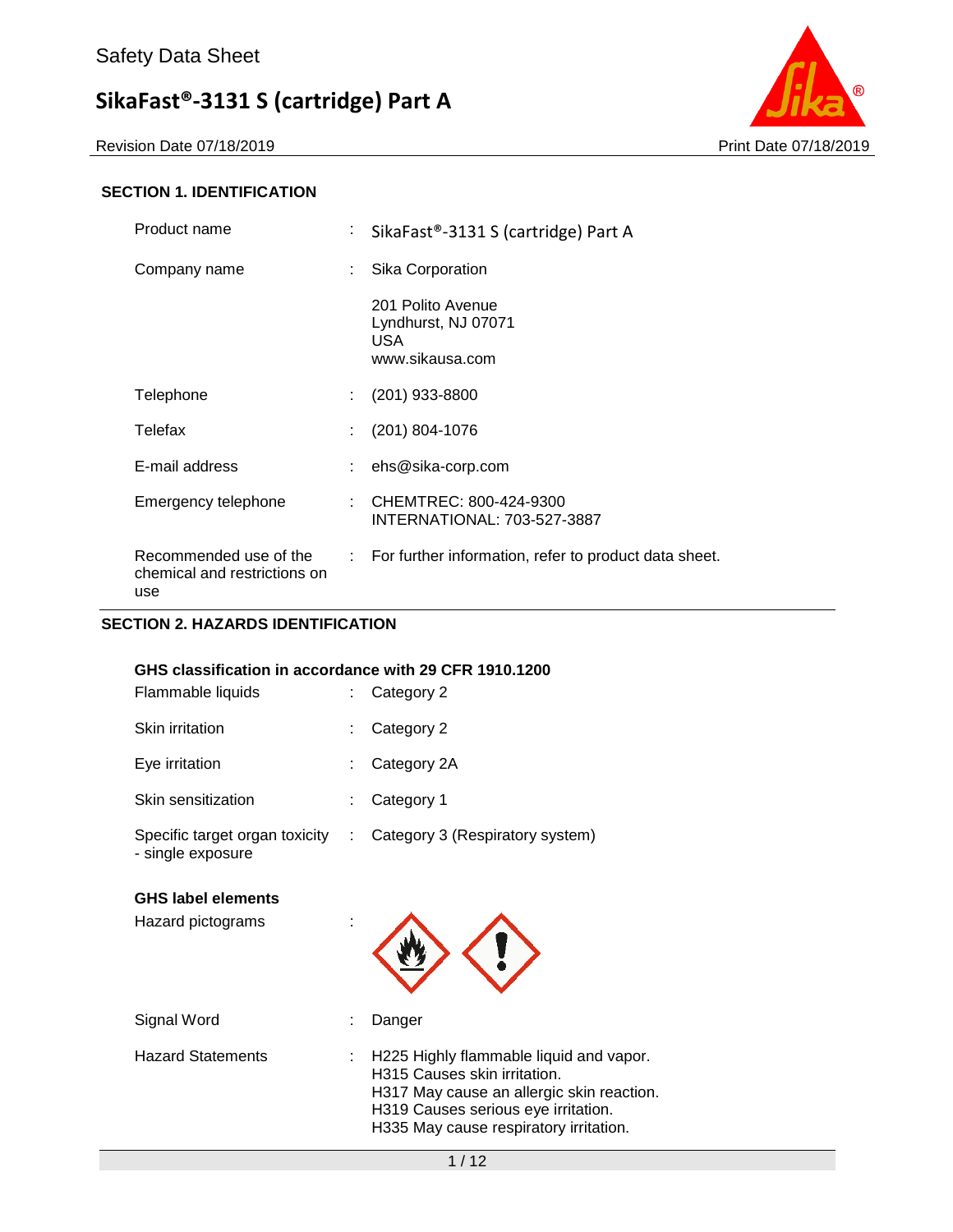Revision Date 07/18/2019 **Print Date 07/18/2019** 



### **SECTION 1. IDENTIFICATION**

| Product name                                                  | ÷.                         | SikaFast®-3131 S (cartridge) Part A                                |  |  |  |
|---------------------------------------------------------------|----------------------------|--------------------------------------------------------------------|--|--|--|
| Company name                                                  | ÷.                         | Sika Corporation                                                   |  |  |  |
|                                                               |                            | 201 Polito Avenue<br>Lyndhurst, NJ 07071<br>USA<br>www.sikausa.com |  |  |  |
| Telephone                                                     | ÷.                         | (201) 933-8800                                                     |  |  |  |
| Telefax                                                       | t.                         | (201) 804-1076                                                     |  |  |  |
| E-mail address                                                | ÷.                         | ehs@sika-corp.com                                                  |  |  |  |
| Emergency telephone                                           | ÷                          | CHEMTREC: 800-424-9300<br>INTERNATIONAL: 703-527-3887              |  |  |  |
| Recommended use of the<br>chemical and restrictions on<br>use | $\mathcal{L}^{\text{max}}$ | For further information, refer to product data sheet.              |  |  |  |

### **SECTION 2. HAZARDS IDENTIFICATION**

| GHS classification in accordance with 29 CFR 1910.1200 |   |                                 |
|--------------------------------------------------------|---|---------------------------------|
| Flammable liquids                                      |   | Category 2                      |
| <b>Skin irritation</b>                                 |   | Category 2                      |
| Eye irritation                                         |   | Category 2A                     |
| Skin sensitization                                     |   | Category 1                      |
| Specific target organ toxicity<br>- single exposure    | ÷ | Category 3 (Respiratory system) |
| <b>GHS label elements</b><br>Hazard pictograms         |   |                                 |

| Signal Word              | : Danger                                                                                                                                                                                                |
|--------------------------|---------------------------------------------------------------------------------------------------------------------------------------------------------------------------------------------------------|
| <b>Hazard Statements</b> | : H225 Highly flammable liquid and vapor.<br>H315 Causes skin irritation.<br>H317 May cause an allergic skin reaction.<br>H319 Causes serious eye irritation.<br>H335 May cause respiratory irritation. |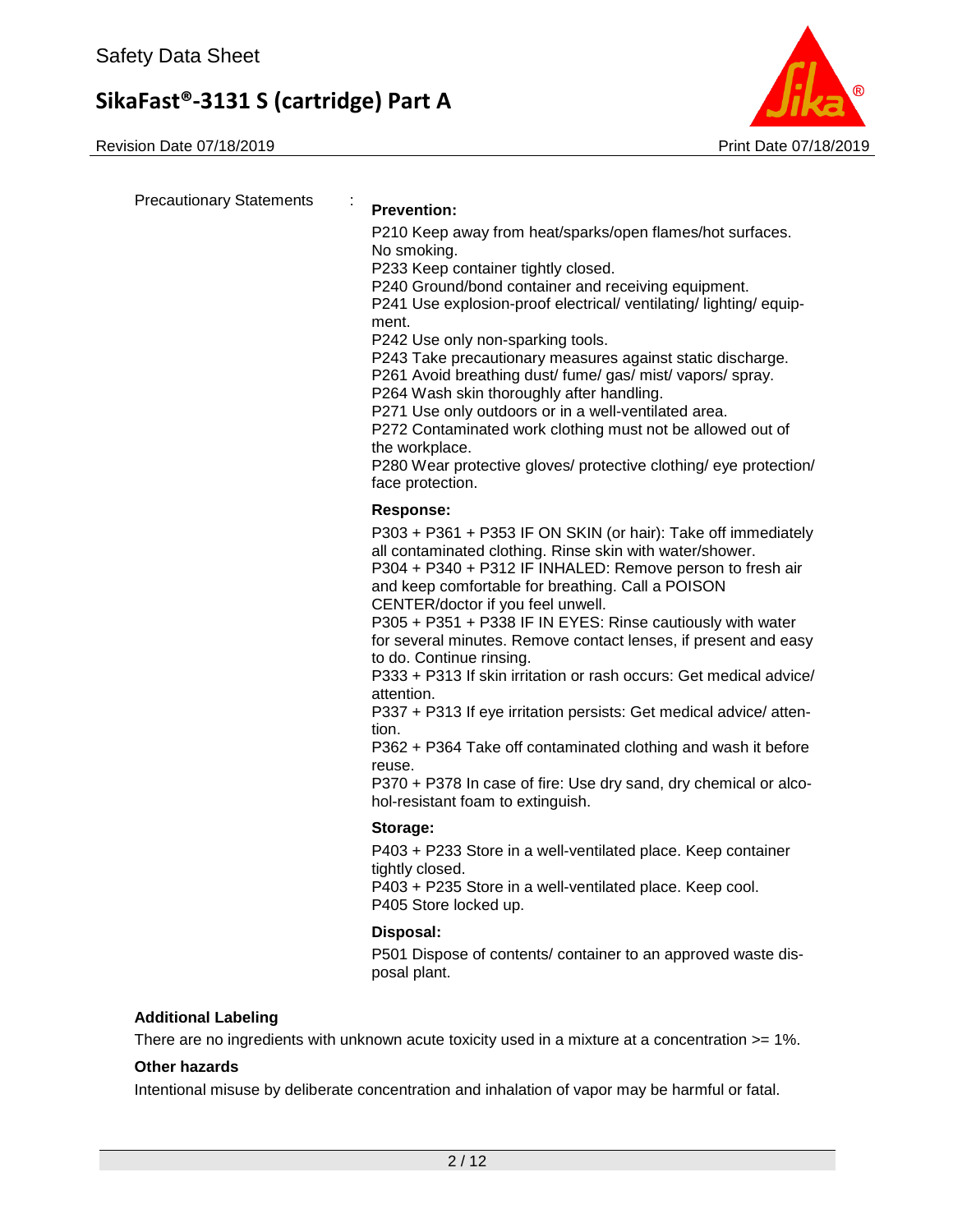Revision Date 07/18/2019 **Print Date 07/18/2019** Print Date 07/18/2019



Precautionary Statements : **Prevention:**  P210 Keep away from heat/sparks/open flames/hot surfaces. No smoking. P233 Keep container tightly closed. P240 Ground/bond container and receiving equipment. P241 Use explosion-proof electrical/ ventilating/ lighting/ equipment. P242 Use only non-sparking tools. P243 Take precautionary measures against static discharge. P261 Avoid breathing dust/ fume/ gas/ mist/ vapors/ spray. P264 Wash skin thoroughly after handling. P271 Use only outdoors or in a well-ventilated area. P272 Contaminated work clothing must not be allowed out of the workplace. P280 Wear protective gloves/ protective clothing/ eye protection/ face protection. **Response:**  P303 + P361 + P353 IF ON SKIN (or hair): Take off immediately all contaminated clothing. Rinse skin with water/shower. P304 + P340 + P312 IF INHALED: Remove person to fresh air and keep comfortable for breathing. Call a POISON CENTER/doctor if you feel unwell. P305 + P351 + P338 IF IN EYES: Rinse cautiously with water for several minutes. Remove contact lenses, if present and easy to do. Continue rinsing. P333 + P313 If skin irritation or rash occurs: Get medical advice/ attention. P337 + P313 If eye irritation persists: Get medical advice/ attention. P362 + P364 Take off contaminated clothing and wash it before reuse. P370 + P378 In case of fire: Use dry sand, dry chemical or alcohol-resistant foam to extinguish. **Storage:**  P403 + P233 Store in a well-ventilated place. Keep container tightly closed. P403 + P235 Store in a well-ventilated place. Keep cool. P405 Store locked up. **Disposal:**  P501 Dispose of contents/ container to an approved waste disposal plant. **Additional Labeling**

There are no ingredients with unknown acute toxicity used in a mixture at a concentration >= 1%.

### **Other hazards**

Intentional misuse by deliberate concentration and inhalation of vapor may be harmful or fatal.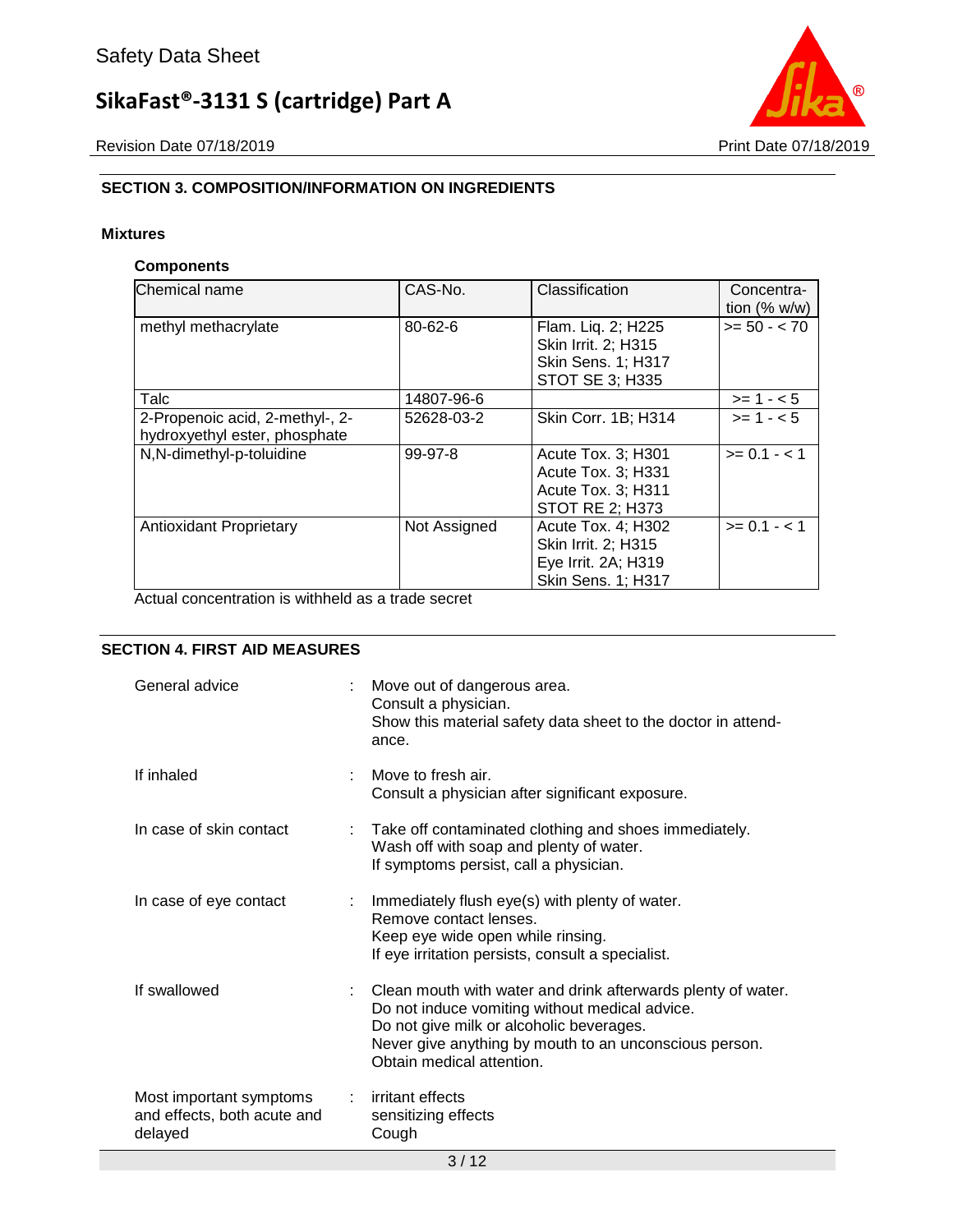Revision Date 07/18/2019 **Print Date 07/18/2019** 



### **SECTION 3. COMPOSITION/INFORMATION ON INGREDIENTS**

### **Mixtures**

### **Components**

| Chemical name                                                    | CAS-No.      | Classification                                                                                | Concentra-<br>tion $(\% w/w)$ |
|------------------------------------------------------------------|--------------|-----------------------------------------------------------------------------------------------|-------------------------------|
| methyl methacrylate                                              | 80-62-6      | Flam. Liq. 2; H225<br>Skin Irrit. 2; H315<br>Skin Sens. 1; H317<br>STOT SE 3; H335            | $>= 50 - < 70$                |
| Talc                                                             | 14807-96-6   |                                                                                               | $>= 1 - 5$                    |
| 2-Propenoic acid, 2-methyl-, 2-<br>hydroxyethyl ester, phosphate | 52628-03-2   | Skin Corr. 1B; H314                                                                           | $>= 1 - 5$                    |
| N,N-dimethyl-p-toluidine                                         | 99-97-8      | Acute Tox. 3; H301<br>Acute Tox. 3; H331<br>Acute Tox. 3; H311<br><b>STOT RE 2; H373</b>      | $>= 0.1 - < 1$                |
| <b>Antioxidant Proprietary</b>                                   | Not Assigned | Acute Tox. 4: H302<br>Skin Irrit. 2; H315<br>Eye Irrit. 2A; H319<br><b>Skin Sens. 1; H317</b> | $>= 0.1 - 1.1$                |

Actual concentration is withheld as a trade secret

### **SECTION 4. FIRST AID MEASURES**

| General advice                                                    | Move out of dangerous area.<br>Consult a physician.<br>Show this material safety data sheet to the doctor in attend-<br>ance.                                                                                                                       |  |
|-------------------------------------------------------------------|-----------------------------------------------------------------------------------------------------------------------------------------------------------------------------------------------------------------------------------------------------|--|
| If inhaled                                                        | Move to fresh air.<br>Consult a physician after significant exposure.                                                                                                                                                                               |  |
| In case of skin contact                                           | : Take off contaminated clothing and shoes immediately.<br>Wash off with soap and plenty of water.<br>If symptoms persist, call a physician.                                                                                                        |  |
| In case of eye contact                                            | : Immediately flush eye(s) with plenty of water.<br>Remove contact lenses.<br>Keep eye wide open while rinsing.<br>If eye irritation persists, consult a specialist.                                                                                |  |
| If swallowed                                                      | : Clean mouth with water and drink afterwards plenty of water.<br>Do not induce vomiting without medical advice.<br>Do not give milk or alcoholic beverages.<br>Never give anything by mouth to an unconscious person.<br>Obtain medical attention. |  |
| Most important symptoms<br>and effects, both acute and<br>delayed | : irritant effects<br>sensitizing effects<br>Cough                                                                                                                                                                                                  |  |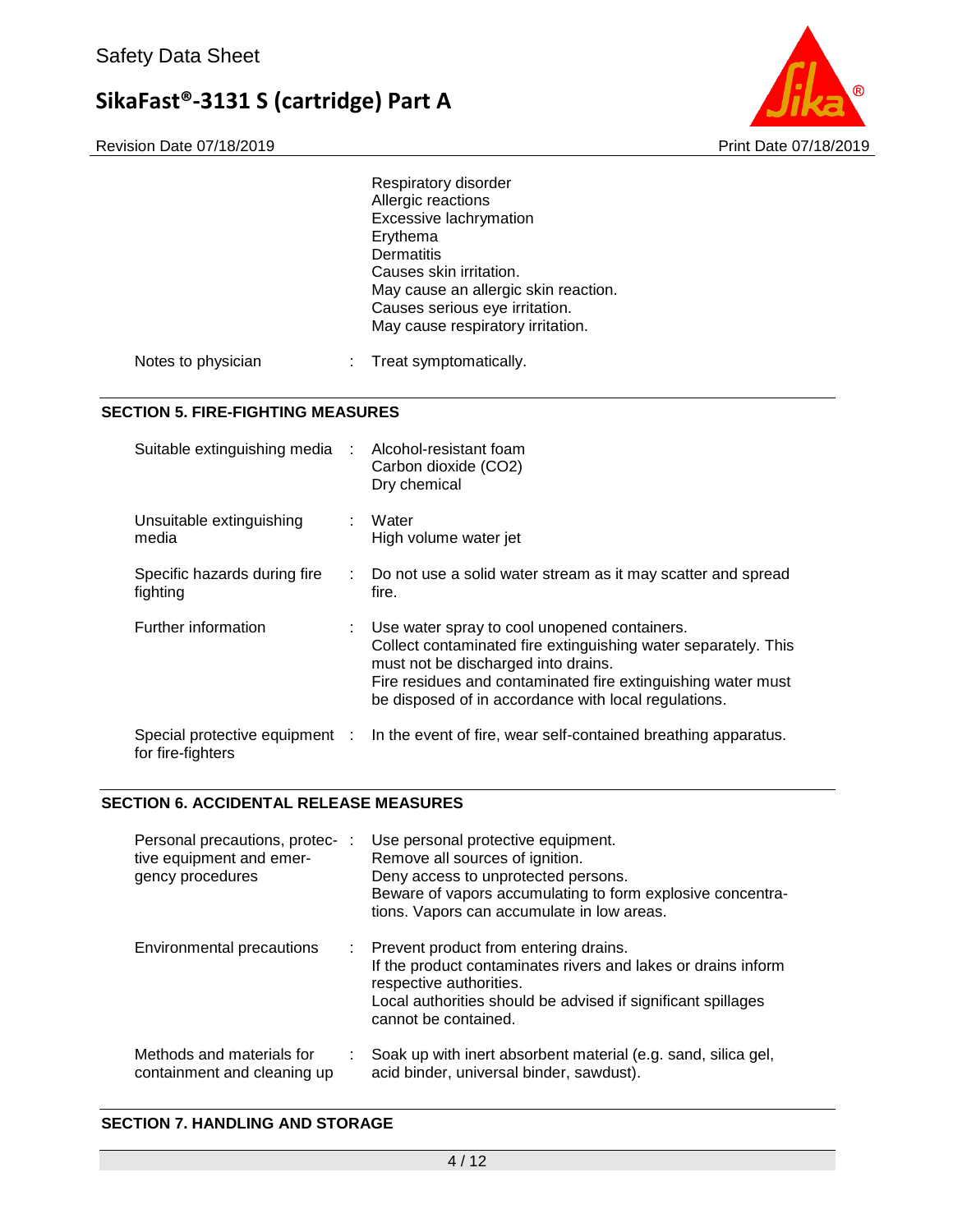

|                                                   |      | Respiratory disorder<br>Allergic reactions<br>Excessive lachrymation<br>Erythema<br><b>Dermatitis</b><br>Causes skin irritation.<br>May cause an allergic skin reaction.<br>Causes serious eye irritation.<br>May cause respiratory irritation.                               |  |
|---------------------------------------------------|------|-------------------------------------------------------------------------------------------------------------------------------------------------------------------------------------------------------------------------------------------------------------------------------|--|
| Notes to physician                                |      | Treat symptomatically.                                                                                                                                                                                                                                                        |  |
| <b>SECTION 5. FIRE-FIGHTING MEASURES</b>          |      |                                                                                                                                                                                                                                                                               |  |
| Suitable extinguishing media                      |      | Alcohol-resistant foam<br>Carbon dioxide (CO2)<br>Dry chemical                                                                                                                                                                                                                |  |
| Unsuitable extinguishing<br>media                 |      | Water<br>High volume water jet                                                                                                                                                                                                                                                |  |
| Specific hazards during fire<br>fighting          |      | Do not use a solid water stream as it may scatter and spread<br>fire.                                                                                                                                                                                                         |  |
| Further information                               |      | Use water spray to cool unopened containers.<br>Collect contaminated fire extinguishing water separately. This<br>must not be discharged into drains.<br>Fire residues and contaminated fire extinguishing water must<br>be disposed of in accordance with local regulations. |  |
| Special protective equipment<br>for fire-fighters | - 11 | In the event of fire, wear self-contained breathing apparatus.                                                                                                                                                                                                                |  |
|                                                   |      |                                                                                                                                                                                                                                                                               |  |

### **SECTION 6. ACCIDENTAL RELEASE MEASURES**

| Personal precautions, protec- :<br>tive equipment and emer-<br>gency procedures | Use personal protective equipment.<br>Remove all sources of ignition.<br>Deny access to unprotected persons.<br>Beware of vapors accumulating to form explosive concentra-<br>tions. Vapors can accumulate in low areas.    |
|---------------------------------------------------------------------------------|-----------------------------------------------------------------------------------------------------------------------------------------------------------------------------------------------------------------------------|
| Environmental precautions                                                       | : Prevent product from entering drains.<br>If the product contaminates rivers and lakes or drains inform<br>respective authorities.<br>Local authorities should be advised if significant spillages<br>cannot be contained. |
| Methods and materials for<br>containment and cleaning up                        | Soak up with inert absorbent material (e.g. sand, silica gel,<br>acid binder, universal binder, sawdust).                                                                                                                   |

### **SECTION 7. HANDLING AND STORAGE**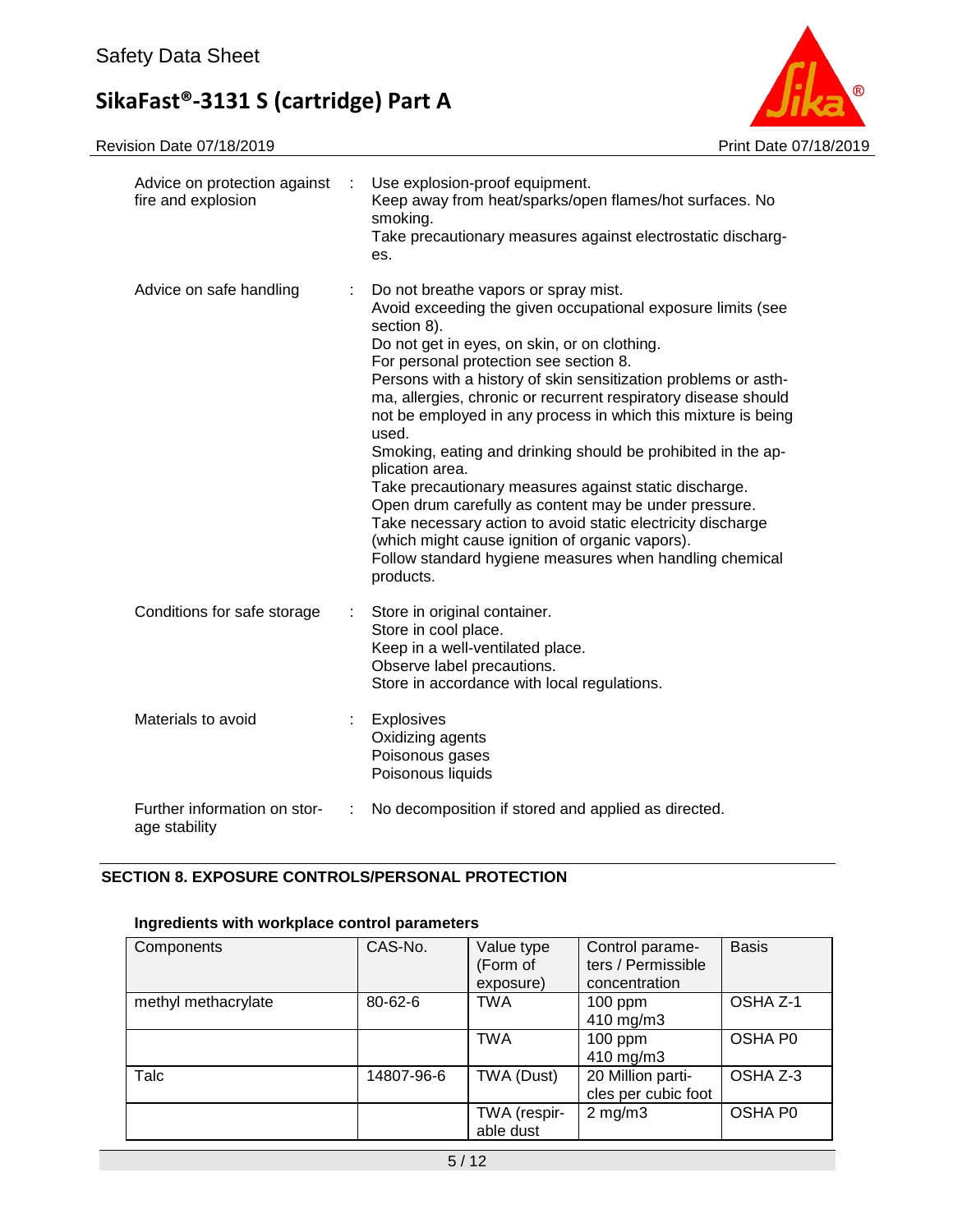

| Advice on protection against<br>fire and explosion |   | Use explosion-proof equipment.<br>Keep away from heat/sparks/open flames/hot surfaces. No<br>smoking.<br>Take precautionary measures against electrostatic discharg-<br>es.                                                                                                                                                                                                                                                                                                                                                                                                                                                                                                                                                                                                                                               |  |
|----------------------------------------------------|---|---------------------------------------------------------------------------------------------------------------------------------------------------------------------------------------------------------------------------------------------------------------------------------------------------------------------------------------------------------------------------------------------------------------------------------------------------------------------------------------------------------------------------------------------------------------------------------------------------------------------------------------------------------------------------------------------------------------------------------------------------------------------------------------------------------------------------|--|
| Advice on safe handling                            |   | Do not breathe vapors or spray mist.<br>Avoid exceeding the given occupational exposure limits (see<br>section 8).<br>Do not get in eyes, on skin, or on clothing.<br>For personal protection see section 8.<br>Persons with a history of skin sensitization problems or asth-<br>ma, allergies, chronic or recurrent respiratory disease should<br>not be employed in any process in which this mixture is being<br>used.<br>Smoking, eating and drinking should be prohibited in the ap-<br>plication area.<br>Take precautionary measures against static discharge.<br>Open drum carefully as content may be under pressure.<br>Take necessary action to avoid static electricity discharge<br>(which might cause ignition of organic vapors).<br>Follow standard hygiene measures when handling chemical<br>products. |  |
| Conditions for safe storage                        |   | Store in original container.<br>Store in cool place.<br>Keep in a well-ventilated place.<br>Observe label precautions.<br>Store in accordance with local regulations.                                                                                                                                                                                                                                                                                                                                                                                                                                                                                                                                                                                                                                                     |  |
| Materials to avoid                                 |   | Explosives<br>Oxidizing agents<br>Poisonous gases<br>Poisonous liquids                                                                                                                                                                                                                                                                                                                                                                                                                                                                                                                                                                                                                                                                                                                                                    |  |
| Further information on stor-<br>age stability      | ÷ | No decomposition if stored and applied as directed.                                                                                                                                                                                                                                                                                                                                                                                                                                                                                                                                                                                                                                                                                                                                                                       |  |

### **SECTION 8. EXPOSURE CONTROLS/PERSONAL PROTECTION**

### **Ingredients with workplace control parameters**

| Components          | CAS-No.    | Value type<br>(Form of<br>exposure) | Control parame-<br>ters / Permissible<br>concentration | <b>Basis</b> |
|---------------------|------------|-------------------------------------|--------------------------------------------------------|--------------|
| methyl methacrylate | 80-62-6    | <b>TWA</b>                          | $100$ ppm<br>410 mg/m3                                 | OSHA Z-1     |
|                     |            | <b>TWA</b>                          | $100$ ppm<br>410 mg/m3                                 | OSHA P0      |
| Talc                | 14807-96-6 | TWA (Dust)                          | 20 Million parti-<br>cles per cubic foot               | OSHA Z-3     |
|                     |            | TWA (respir-<br>able dust           | $2$ mg/m $3$                                           | OSHA P0      |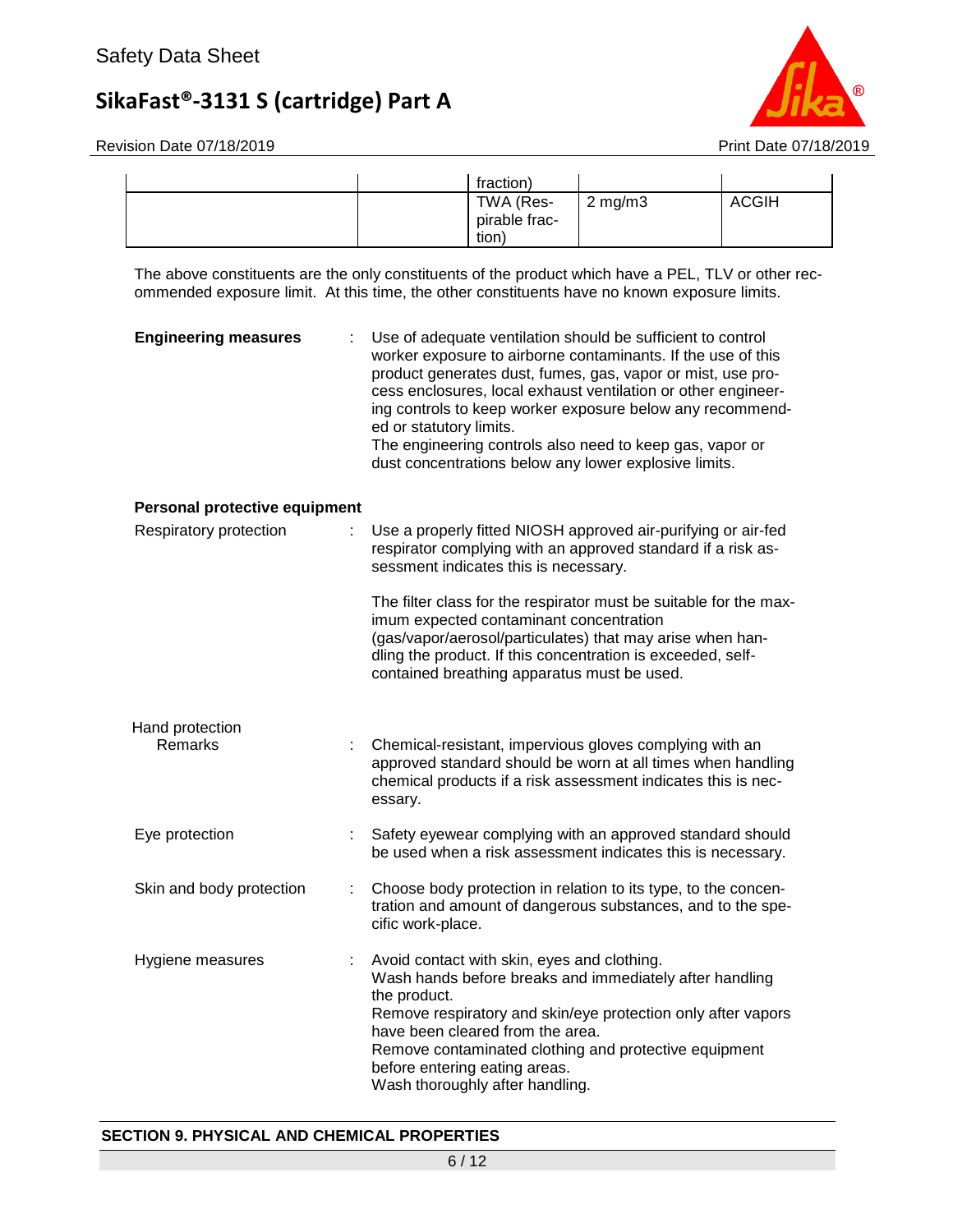

Revision Date 07/18/2019 **Print Date 07/18/2019** 

|  | fraction)                           |                  |              |
|--|-------------------------------------|------------------|--------------|
|  | TWA (Res-<br>pirable frac-<br>tion) | $2 \text{ mg/m}$ | <b>ACGIH</b> |

The above constituents are the only constituents of the product which have a PEL, TLV or other recommended exposure limit. At this time, the other constituents have no known exposure limits.

| <b>Engineering measures</b>       |    | Use of adequate ventilation should be sufficient to control<br>worker exposure to airborne contaminants. If the use of this<br>product generates dust, fumes, gas, vapor or mist, use pro-<br>cess enclosures, local exhaust ventilation or other engineer-<br>ing controls to keep worker exposure below any recommend-<br>ed or statutory limits.<br>The engineering controls also need to keep gas, vapor or<br>dust concentrations below any lower explosive limits. |
|-----------------------------------|----|--------------------------------------------------------------------------------------------------------------------------------------------------------------------------------------------------------------------------------------------------------------------------------------------------------------------------------------------------------------------------------------------------------------------------------------------------------------------------|
| Personal protective equipment     |    |                                                                                                                                                                                                                                                                                                                                                                                                                                                                          |
| Respiratory protection            | ÷. | Use a properly fitted NIOSH approved air-purifying or air-fed<br>respirator complying with an approved standard if a risk as-<br>sessment indicates this is necessary.                                                                                                                                                                                                                                                                                                   |
|                                   |    | The filter class for the respirator must be suitable for the max-<br>imum expected contaminant concentration<br>(gas/vapor/aerosol/particulates) that may arise when han-<br>dling the product. If this concentration is exceeded, self-<br>contained breathing apparatus must be used.                                                                                                                                                                                  |
| Hand protection<br><b>Remarks</b> |    | Chemical-resistant, impervious gloves complying with an<br>approved standard should be worn at all times when handling<br>chemical products if a risk assessment indicates this is nec-<br>essary.                                                                                                                                                                                                                                                                       |
| Eye protection                    |    | Safety eyewear complying with an approved standard should<br>be used when a risk assessment indicates this is necessary.                                                                                                                                                                                                                                                                                                                                                 |
| Skin and body protection          | ÷  | Choose body protection in relation to its type, to the concen-<br>tration and amount of dangerous substances, and to the spe-<br>cific work-place.                                                                                                                                                                                                                                                                                                                       |
| Hygiene measures                  |    | Avoid contact with skin, eyes and clothing.<br>Wash hands before breaks and immediately after handling<br>the product.<br>Remove respiratory and skin/eye protection only after vapors<br>have been cleared from the area.<br>Remove contaminated clothing and protective equipment<br>before entering eating areas.<br>Wash thoroughly after handling.                                                                                                                  |

### **SECTION 9. PHYSICAL AND CHEMICAL PROPERTIES**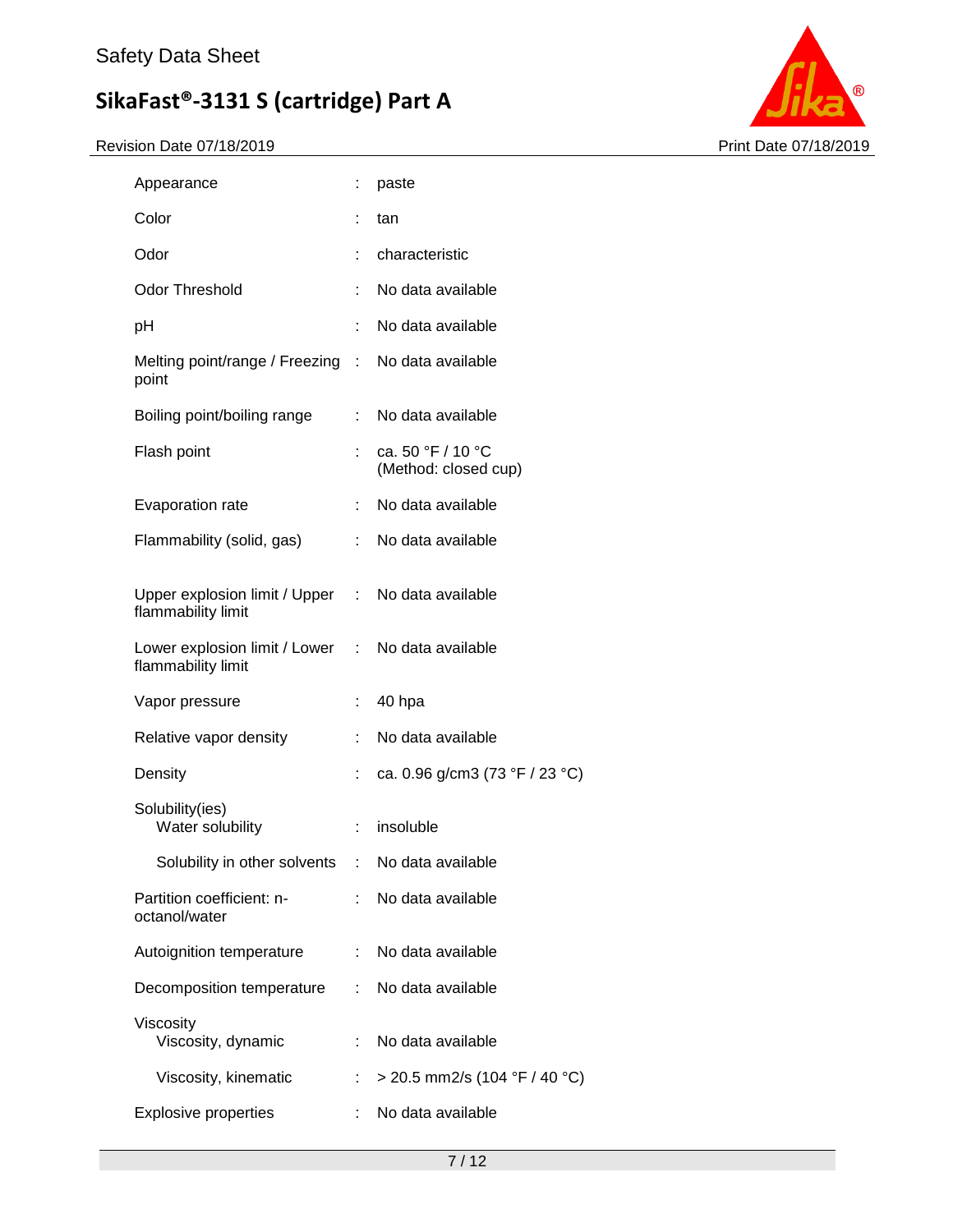

| Appearance                                                              |    | paste                                     |
|-------------------------------------------------------------------------|----|-------------------------------------------|
| Color                                                                   | ÷  | tan                                       |
| Odor                                                                    | ÷  | characteristic                            |
| <b>Odor Threshold</b>                                                   | t. | No data available                         |
| pH                                                                      |    | No data available                         |
| Melting point/range / Freezing : No data available<br>point             |    |                                           |
| Boiling point/boiling range                                             | t. | No data available                         |
| Flash point                                                             |    | ca. 50 °F / 10 °C<br>(Method: closed cup) |
| Evaporation rate                                                        | t. | No data available                         |
| Flammability (solid, gas)                                               | t. | No data available                         |
| Upper explosion limit / Upper : No data available<br>flammability limit |    |                                           |
| Lower explosion limit / Lower : No data available<br>flammability limit |    |                                           |
| Vapor pressure                                                          | t. | 40 hpa                                    |
| Relative vapor density                                                  |    | No data available                         |
| Density                                                                 | t  | ca. 0.96 g/cm3 (73 °F / 23 °C)            |
| Solubility(ies)<br>Water solubility                                     | ÷. | insoluble                                 |
| Solubility in other solvents                                            | t. | No data available                         |
| Partition coefficient: n-<br>octanol/water                              | t. | No data available                         |
| Autoignition temperature                                                | t. | No data available                         |
| Decomposition temperature                                               | ÷. | No data available                         |
| Viscosity<br>Viscosity, dynamic                                         | t. | No data available                         |
| Viscosity, kinematic                                                    |    | > 20.5 mm2/s (104 °F / 40 °C)             |
| <b>Explosive properties</b>                                             |    | No data available                         |
|                                                                         |    |                                           |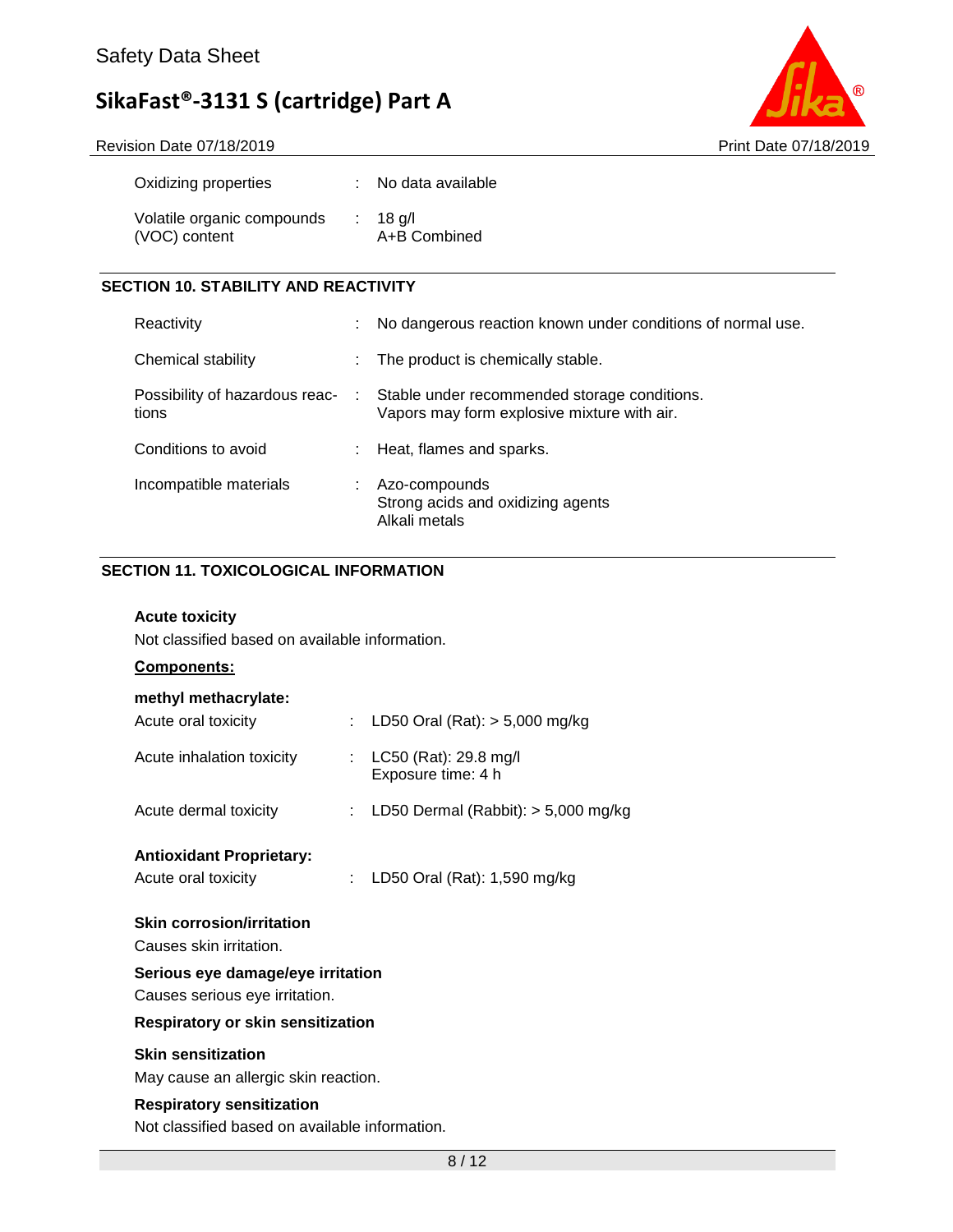Revision Date 07/18/2019 **Print Date 07/18/2019** 



| Oxidizing properties                        | : No data available        |
|---------------------------------------------|----------------------------|
| Volatile organic compounds<br>(VOC) content | $: 18$ g/l<br>A+B Combined |

### **SECTION 10. STABILITY AND REACTIVITY**

| Reactivity                              | ÷. | No dangerous reaction known under conditions of normal use.                                 |
|-----------------------------------------|----|---------------------------------------------------------------------------------------------|
| Chemical stability                      | ÷. | The product is chemically stable.                                                           |
| Possibility of hazardous reac-<br>tions | ÷  | Stable under recommended storage conditions.<br>Vapors may form explosive mixture with air. |
| Conditions to avoid                     | ÷. | Heat, flames and sparks.                                                                    |
| Incompatible materials                  |    | Azo-compounds<br>Strong acids and oxidizing agents<br>Alkali metals                         |

### **SECTION 11. TOXICOLOGICAL INFORMATION**

### **Acute toxicity**

Not classified based on available information.

### **Components:**

### **methyl methacrylate:**

| Acute oral toxicity                                                 |  | : LD50 Oral (Rat): $> 5,000$ mg/kg          |  |  |
|---------------------------------------------------------------------|--|---------------------------------------------|--|--|
| Acute inhalation toxicity                                           |  | LC50 (Rat): 29.8 mg/l<br>Exposure time: 4 h |  |  |
| Acute dermal toxicity                                               |  | : LD50 Dermal (Rabbit): $>$ 5,000 mg/kg     |  |  |
| <b>Antioxidant Proprietary:</b><br>Acute oral toxicity              |  | LD50 Oral (Rat): 1,590 mg/kg                |  |  |
| <b>Skin corrosion/irritation</b><br>Causes skin irritation.         |  |                                             |  |  |
| Serious eye damage/eye irritation<br>Causes serious eye irritation. |  |                                             |  |  |
|                                                                     |  |                                             |  |  |

### **Respiratory or skin sensitization**

### **Skin sensitization**

May cause an allergic skin reaction.

### **Respiratory sensitization**

Not classified based on available information.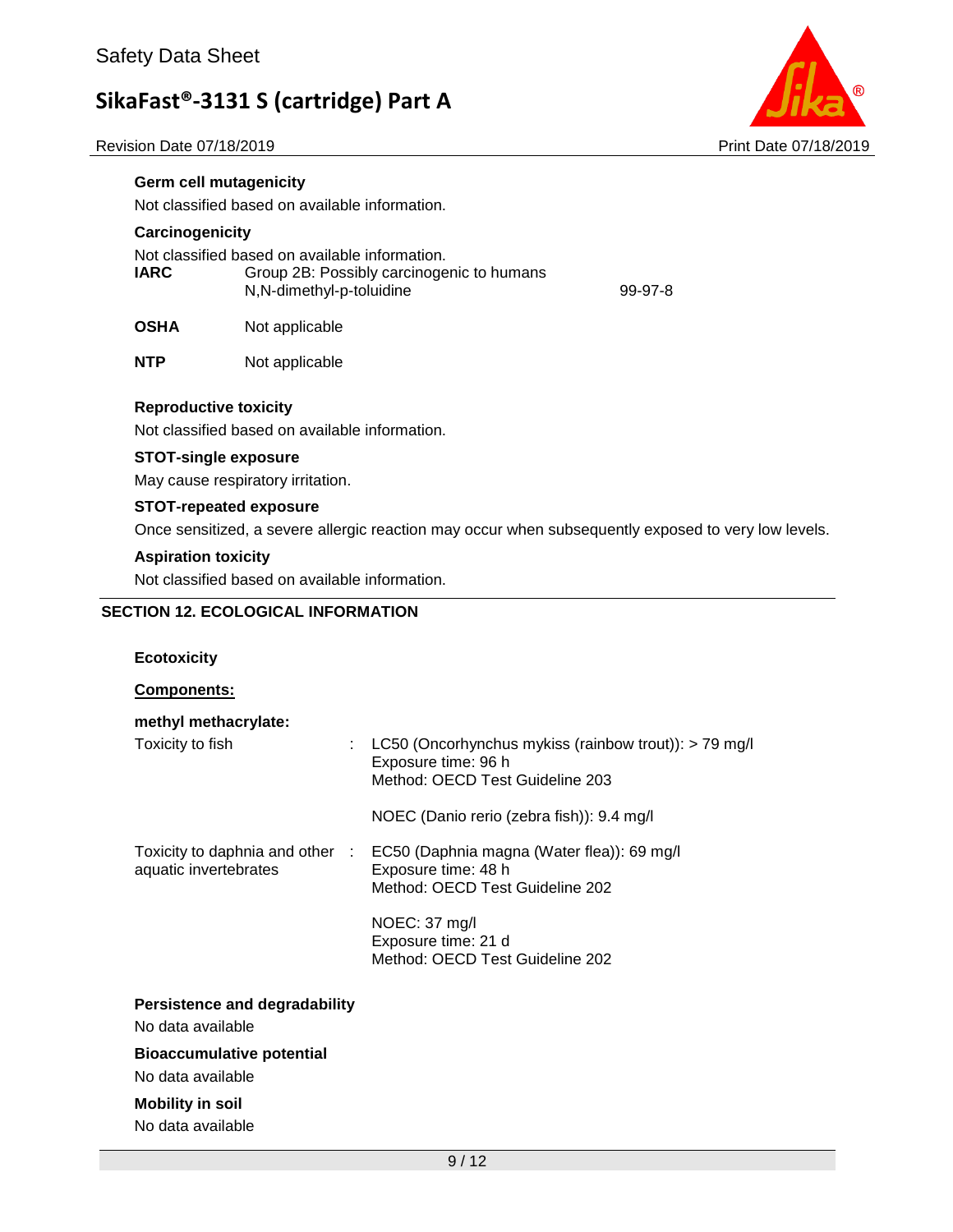Revision Date 07/18/2019 **Print Date 07/18/2019** Print Date 07/18/2019



### **SECTION 12. ECOLOGICAL INFORMATION**

#### **Ecotoxicity**

**Components:**

| methyl methacrylate:                                     |                                                                                                                   |
|----------------------------------------------------------|-------------------------------------------------------------------------------------------------------------------|
| Toxicity to fish<br>÷                                    | LC50 (Oncorhynchus mykiss (rainbow trout)): $>$ 79 mg/l<br>Exposure time: 96 h<br>Method: OECD Test Guideline 203 |
|                                                          | NOEC (Danio rerio (zebra fish)): 9.4 mg/l                                                                         |
| Toxicity to daphnia and other :<br>aquatic invertebrates | EC50 (Daphnia magna (Water flea)): 69 mg/l<br>Exposure time: 48 h<br>Method: OECD Test Guideline 202              |
|                                                          | NOEC: 37 mg/l<br>Exposure time: 21 d<br>Method: OECD Test Guideline 202                                           |
| <b>Persistence and degradability</b>                     |                                                                                                                   |
| No data available                                        |                                                                                                                   |
| <b>Bioaccumulative potential</b>                         |                                                                                                                   |
| No data available                                        |                                                                                                                   |
| <b>Mobility in soil</b>                                  |                                                                                                                   |
| No data available                                        |                                                                                                                   |

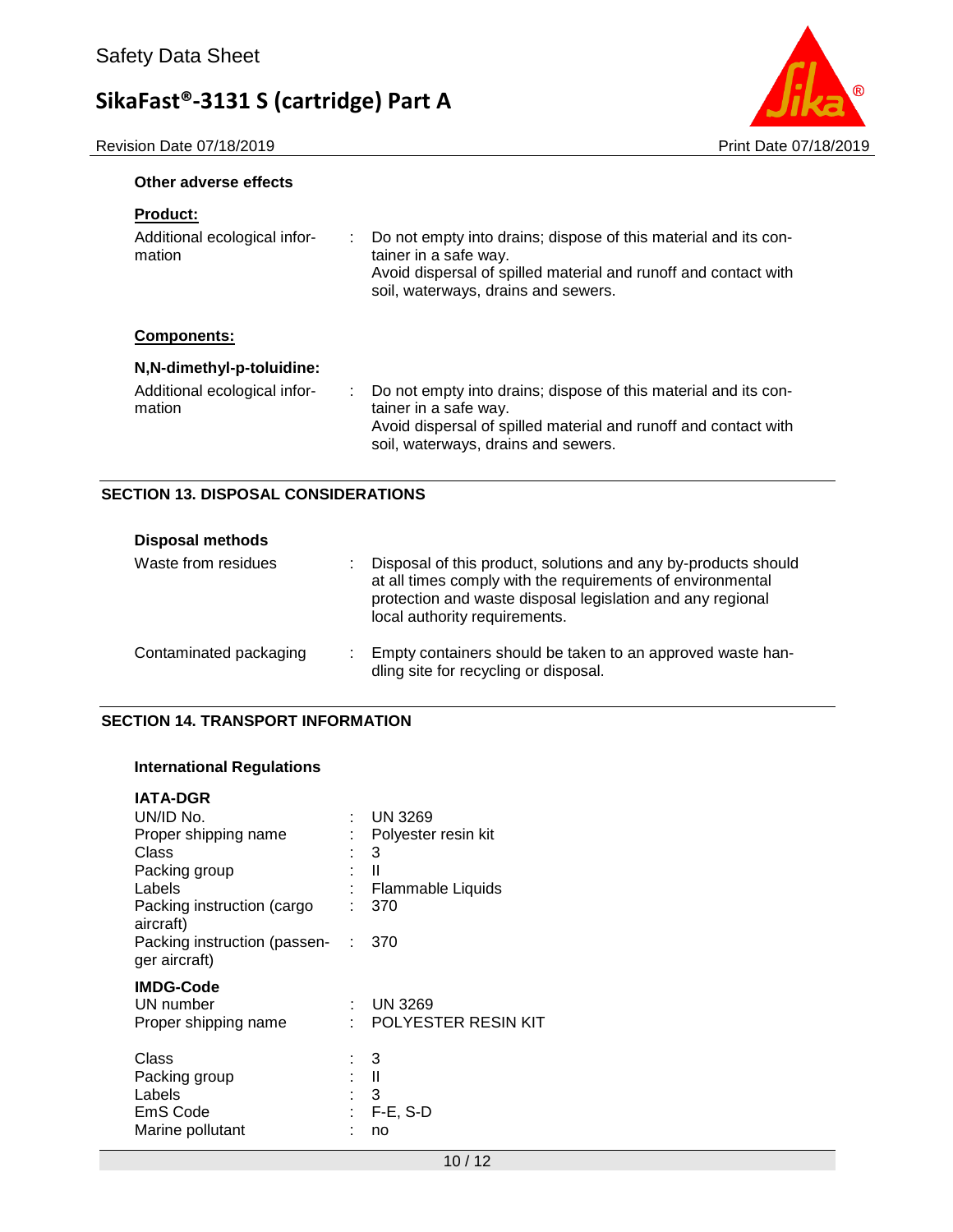Revision Date 07/18/2019 **Print Date 07/18/2019** 



### **Other adverse effects**

| Do not empty into drains; dispose of this material and its con-<br>÷<br>tainer in a safe way.<br>Avoid dispersal of spilled material and runoff and contact with<br>soil, waterways, drains and sewers. |
|---------------------------------------------------------------------------------------------------------------------------------------------------------------------------------------------------------|
|                                                                                                                                                                                                         |
|                                                                                                                                                                                                         |
| Do not empty into drains; dispose of this material and its con-<br>tainer in a safe way.<br>Avoid dispersal of spilled material and runoff and contact with<br>soil, waterways, drains and sewers.      |
|                                                                                                                                                                                                         |

### **SECTION 13. DISPOSAL CONSIDERATIONS**

| <b>Disposal methods</b>      |                                                                                                                                                                                                                             |  |
|------------------------------|-----------------------------------------------------------------------------------------------------------------------------------------------------------------------------------------------------------------------------|--|
| Waste from residues<br>٠     | Disposal of this product, solutions and any by-products should<br>at all times comply with the requirements of environmental<br>protection and waste disposal legislation and any regional<br>local authority requirements. |  |
| Contaminated packaging<br>٠. | Empty containers should be taken to an approved waste han-<br>dling site for recycling or disposal.                                                                                                                         |  |

### **SECTION 14. TRANSPORT INFORMATION**

### **International Regulations**

| <b>IATA-DGR</b>                                                  |   |                                                   |
|------------------------------------------------------------------|---|---------------------------------------------------|
| UN/ID No.                                                        |   | $:$ UN 3269                                       |
| Proper shipping name                                             |   | Polyester resin kit                               |
| Class                                                            |   | : 3                                               |
| Packing group                                                    | t | Ш                                                 |
| Labels                                                           |   | Flammable Liquids                                 |
| Packing instruction (cargo<br>aircraft)                          | ٠ | 370                                               |
| Packing instruction (passen-<br>ger aircraft)                    |   | $\therefore$ 370                                  |
| <b>IMDG-Code</b><br>UN number<br>Proper shipping name            | ۰ | UN 3269<br>POLYESTER RESIN KIT                    |
| Class<br>Packing group<br>Labels<br>EmS Code<br>Marine pollutant | t | - 3<br>$\blacksquare$<br>: 3<br>$F-E$ , S-D<br>no |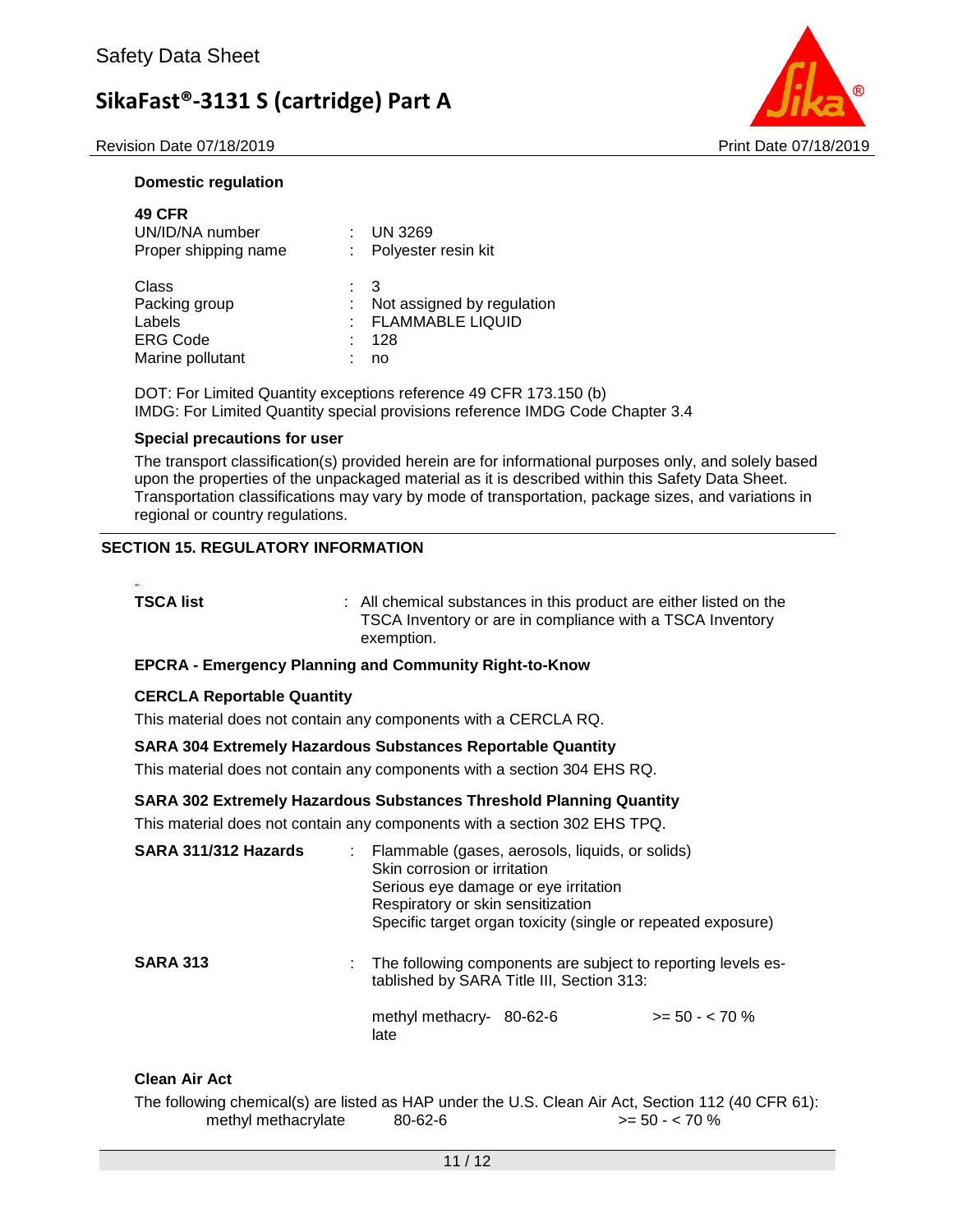Revision Date 07/18/2019 **Print Date 07/18/2019** Print Date 07/18/2019



### **Domestic regulation**

| <b>49 CFR</b><br>UN/ID/NA number<br>Proper shipping name                |                | <b>UN 3269</b><br>: Polyester resin kit                       |
|-------------------------------------------------------------------------|----------------|---------------------------------------------------------------|
| Class<br>Packing group<br>Labels<br><b>ERG Code</b><br>Marine pollutant | $\therefore$ 3 | Not assigned by regulation<br>: FLAMMABLE LIQUID<br>128<br>no |

DOT: For Limited Quantity exceptions reference 49 CFR 173.150 (b) IMDG: For Limited Quantity special provisions reference IMDG Code Chapter 3.4

### **Special precautions for user**

The transport classification(s) provided herein are for informational purposes only, and solely based upon the properties of the unpackaged material as it is described within this Safety Data Sheet. Transportation classifications may vary by mode of transportation, package sizes, and variations in regional or country regulations.

### **SECTION 15. REGULATORY INFORMATION**

-

**TSCA list EXECA list 1 COLLEGAT COLLEGAT EXECUTE:** All chemical substances in this product are either listed on the TSCA Inventory or are in compliance with a TSCA Inventory exemption.

### **EPCRA - Emergency Planning and Community Right-to-Know**

### **CERCLA Reportable Quantity**

This material does not contain any components with a CERCLA RQ.

### **SARA 304 Extremely Hazardous Substances Reportable Quantity**

This material does not contain any components with a section 304 EHS RQ.

### **SARA 302 Extremely Hazardous Substances Threshold Planning Quantity**

This material does not contain any components with a section 302 EHS TPQ.

| SARA 311/312 Hazards | Flammable (gases, aerosols, liquids, or solids)<br>Skin corrosion or irritation<br>Serious eye damage or eye irritation<br>Respiratory or skin sensitization<br>Specific target organ toxicity (single or repeated exposure) |                   |
|----------------------|------------------------------------------------------------------------------------------------------------------------------------------------------------------------------------------------------------------------------|-------------------|
| <b>SARA 313</b>      | : The following components are subject to reporting levels es-<br>tablished by SARA Title III, Section 313:<br>methyl methacry-<br>80-62-6<br>late                                                                           | $>= 50 - < 70 \%$ |

### **Clean Air Act**

The following chemical(s) are listed as HAP under the U.S. Clean Air Act, Section 112 (40 CFR 61): methyl methacrylate  $80-62-6$   $> 50 - <70$  %